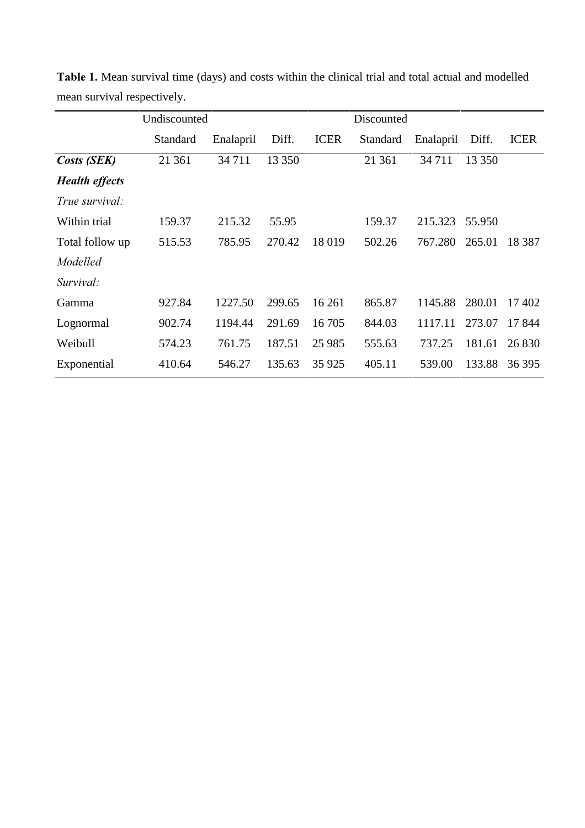|                       | Undiscounted |           |        |             | Discounted |           |        |             |
|-----------------------|--------------|-----------|--------|-------------|------------|-----------|--------|-------------|
|                       | Standard     | Enalapril | Diff.  | <b>ICER</b> | Standard   | Enalapril | Diff.  | <b>ICER</b> |
| Costs (SEK)           | 21 361       | 34 711    | 13 350 |             | 21 361     | 34 7 11   | 13 350 |             |
| <b>Health effects</b> |              |           |        |             |            |           |        |             |
| True survival:        |              |           |        |             |            |           |        |             |
| Within trial          | 159.37       | 215.32    | 55.95  |             | 159.37     | 215.323   | 55.950 |             |
| Total follow up       | 515.53       | 785.95    | 270.42 | 18 019      | 502.26     | 767.280   | 265.01 | 18 3 8 7    |
| Modelled              |              |           |        |             |            |           |        |             |
| Survival:             |              |           |        |             |            |           |        |             |
| Gamma                 | 927.84       | 1227.50   | 299.65 | 16 26 1     | 865.87     | 1145.88   | 280.01 | 17402       |
| Lognormal             | 902.74       | 1194.44   | 291.69 | 16 705      | 844.03     | 1117.11   | 273.07 | 17844       |
| Weibull               | 574.23       | 761.75    | 187.51 | 25 9 85     | 555.63     | 737.25    | 181.61 | 26 830      |
| Exponential           | 410.64       | 546.27    | 135.63 | 35 9 25     | 405.11     | 539.00    | 133.88 | 36 395      |

Table 1. Mean survival time (days) and costs within the clinical trial and total actual and modelled mean survival respectively.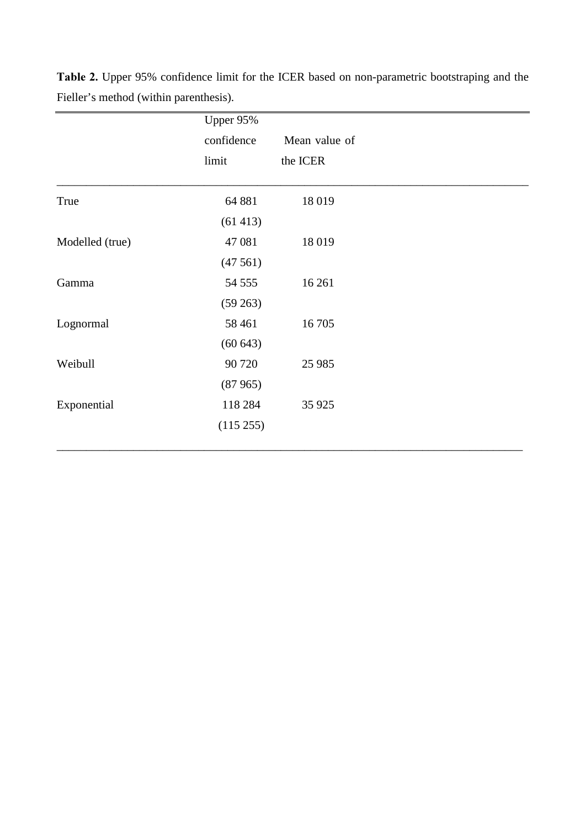|                 | Upper 95%  |               |
|-----------------|------------|---------------|
|                 | confidence | Mean value of |
|                 | limit      | the ICER      |
| True            | 64 881     | 18019         |
|                 |            |               |
|                 | (61413)    |               |
| Modelled (true) | 47 081     | 18019         |
|                 | (47561)    |               |
| Gamma           | 54 555     | 16 26 1       |
|                 | (59 263)   |               |
| Lognormal       | 58 4 61    | 16 705        |
|                 | (60643)    |               |
| Weibull         | 90 720     | 25 985        |
|                 | (87965)    |               |
| Exponential     | 118 284    | 35 9 25       |
|                 | (115 255)  |               |
|                 |            |               |

Table 2. Upper 95% confidence limit for the ICER based on non-parametric bootstraping and the Fieller's method (within parenthesis).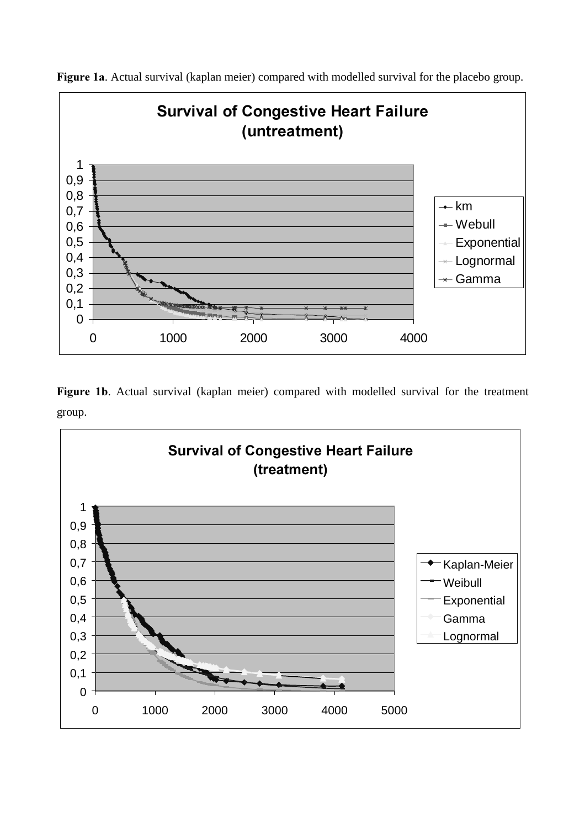

Figure 1a. Actual survival (kaplan meier) compared with modelled survival for the placebo group.

Figure 1b. Actual survival (kaplan meier) compared with modelled survival for the treatment group.